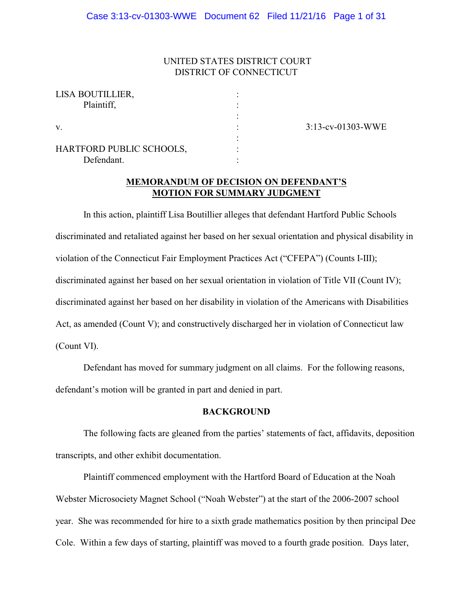# UNITED STATES DISTRICT COURT DISTRICT OF CONNECTICUT

| LISA BOUTILLIER,         |  |
|--------------------------|--|
| Plaintiff,               |  |
|                          |  |
|                          |  |
|                          |  |
| HARTFORD PUBLIC SCHOOLS, |  |
| Defendant.               |  |

3:13-cv-01303-WWE

# **MEMORANDUM OF DECISION ON DEFENDANT'S MOTION FOR SUMMARY JUDGMENT**

In this action, plaintiff Lisa Boutillier alleges that defendant Hartford Public Schools discriminated and retaliated against her based on her sexual orientation and physical disability in violation of the Connecticut Fair Employment Practices Act ("CFEPA") (Counts I-III); discriminated against her based on her sexual orientation in violation of Title VII (Count IV); discriminated against her based on her disability in violation of the Americans with Disabilities Act, as amended (Count V); and constructively discharged her in violation of Connecticut law (Count VI).

Defendant has moved for summary judgment on all claims. For the following reasons, defendant's motion will be granted in part and denied in part.

# **BACKGROUND**

The following facts are gleaned from the parties' statements of fact, affidavits, deposition transcripts, and other exhibit documentation.

Plaintiff commenced employment with the Hartford Board of Education at the Noah Webster Microsociety Magnet School ("Noah Webster") at the start of the 2006-2007 school year. She was recommended for hire to a sixth grade mathematics position by then principal Dee Cole. Within a few days of starting, plaintiff was moved to a fourth grade position. Days later,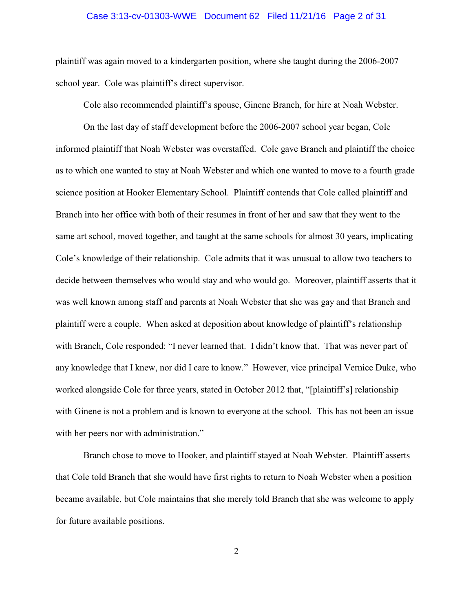# Case 3:13-cv-01303-WWE Document 62 Filed 11/21/16 Page 2 of 31

plaintiff was again moved to a kindergarten position, where she taught during the 2006-2007 school year. Cole was plaintiff's direct supervisor.

Cole also recommended plaintiff's spouse, Ginene Branch, for hire at Noah Webster.

On the last day of staff development before the 2006-2007 school year began, Cole informed plaintiff that Noah Webster was overstaffed. Cole gave Branch and plaintiff the choice as to which one wanted to stay at Noah Webster and which one wanted to move to a fourth grade science position at Hooker Elementary School. Plaintiff contends that Cole called plaintiff and Branch into her office with both of their resumes in front of her and saw that they went to the same art school, moved together, and taught at the same schools for almost 30 years, implicating Cole's knowledge of their relationship. Cole admits that it was unusual to allow two teachers to decide between themselves who would stay and who would go. Moreover, plaintiff asserts that it was well known among staff and parents at Noah Webster that she was gay and that Branch and plaintiff were a couple. When asked at deposition about knowledge of plaintiff's relationship with Branch, Cole responded: "I never learned that. I didn't know that. That was never part of any knowledge that I knew, nor did I care to know." However, vice principal Vernice Duke, who worked alongside Cole for three years, stated in October 2012 that, "[plaintiff's] relationship with Ginene is not a problem and is known to everyone at the school. This has not been an issue with her peers nor with administration."

Branch chose to move to Hooker, and plaintiff stayed at Noah Webster. Plaintiff asserts that Cole told Branch that she would have first rights to return to Noah Webster when a position became available, but Cole maintains that she merely told Branch that she was welcome to apply for future available positions.

2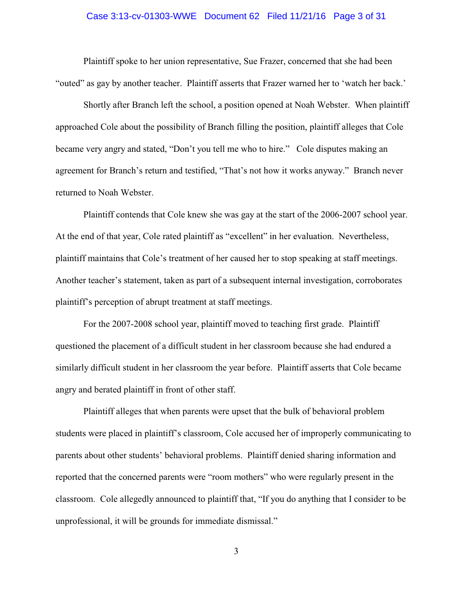# Case 3:13-cv-01303-WWE Document 62 Filed 11/21/16 Page 3 of 31

Plaintiff spoke to her union representative, Sue Frazer, concerned that she had been "outed" as gay by another teacher. Plaintiff asserts that Frazer warned her to 'watch her back.'

Shortly after Branch left the school, a position opened at Noah Webster. When plaintiff approached Cole about the possibility of Branch filling the position, plaintiff alleges that Cole became very angry and stated, "Don't you tell me who to hire." Cole disputes making an agreement for Branch's return and testified, "That's not how it works anyway." Branch never returned to Noah Webster.

Plaintiff contends that Cole knew she was gay at the start of the 2006-2007 school year. At the end of that year, Cole rated plaintiff as "excellent" in her evaluation. Nevertheless, plaintiff maintains that Cole's treatment of her caused her to stop speaking at staff meetings. Another teacher's statement, taken as part of a subsequent internal investigation, corroborates plaintiff's perception of abrupt treatment at staff meetings.

For the 2007-2008 school year, plaintiff moved to teaching first grade. Plaintiff questioned the placement of a difficult student in her classroom because she had endured a similarly difficult student in her classroom the year before. Plaintiff asserts that Cole became angry and berated plaintiff in front of other staff.

Plaintiff alleges that when parents were upset that the bulk of behavioral problem students were placed in plaintiff's classroom, Cole accused her of improperly communicating to parents about other students' behavioral problems. Plaintiff denied sharing information and reported that the concerned parents were "room mothers" who were regularly present in the classroom. Cole allegedly announced to plaintiff that, "If you do anything that I consider to be unprofessional, it will be grounds for immediate dismissal."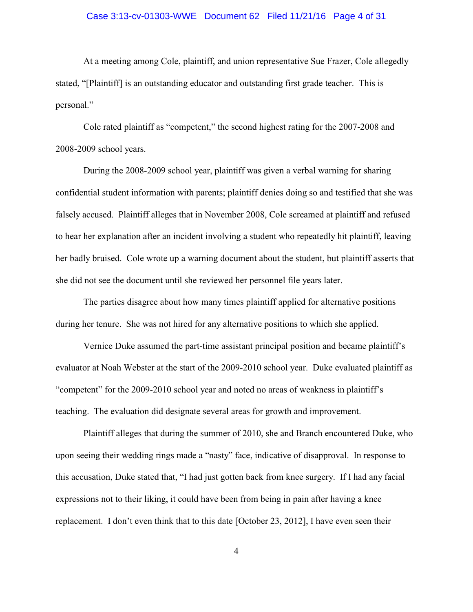# Case 3:13-cv-01303-WWE Document 62 Filed 11/21/16 Page 4 of 31

At a meeting among Cole, plaintiff, and union representative Sue Frazer, Cole allegedly stated, "[Plaintiff] is an outstanding educator and outstanding first grade teacher. This is personal."

Cole rated plaintiff as "competent," the second highest rating for the 2007-2008 and 2008-2009 school years.

During the 2008-2009 school year, plaintiff was given a verbal warning for sharing confidential student information with parents; plaintiff denies doing so and testified that she was falsely accused. Plaintiff alleges that in November 2008, Cole screamed at plaintiff and refused to hear her explanation after an incident involving a student who repeatedly hit plaintiff, leaving her badly bruised. Cole wrote up a warning document about the student, but plaintiff asserts that she did not see the document until she reviewed her personnel file years later.

The parties disagree about how many times plaintiff applied for alternative positions during her tenure. She was not hired for any alternative positions to which she applied.

Vernice Duke assumed the part-time assistant principal position and became plaintiff's evaluator at Noah Webster at the start of the 2009-2010 school year. Duke evaluated plaintiff as "competent" for the 2009-2010 school year and noted no areas of weakness in plaintiff's teaching. The evaluation did designate several areas for growth and improvement.

Plaintiff alleges that during the summer of 2010, she and Branch encountered Duke, who upon seeing their wedding rings made a "nasty" face, indicative of disapproval. In response to this accusation, Duke stated that, "I had just gotten back from knee surgery. If I had any facial expressions not to their liking, it could have been from being in pain after having a knee replacement. I don't even think that to this date [October 23, 2012], I have even seen their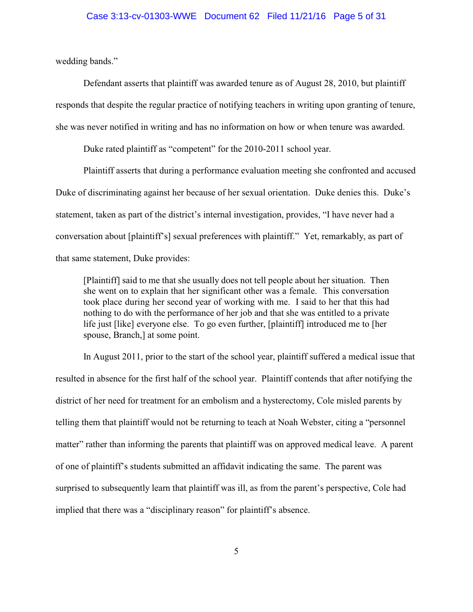# Case 3:13-cv-01303-WWE Document 62 Filed 11/21/16 Page 5 of 31

wedding bands."

Defendant asserts that plaintiff was awarded tenure as of August 28, 2010, but plaintiff responds that despite the regular practice of notifying teachers in writing upon granting of tenure, she was never notified in writing and has no information on how or when tenure was awarded.

Duke rated plaintiff as "competent" for the 2010-2011 school year.

Plaintiff asserts that during a performance evaluation meeting she confronted and accused Duke of discriminating against her because of her sexual orientation. Duke denies this. Duke's statement, taken as part of the district's internal investigation, provides, "I have never had a conversation about [plaintiff's] sexual preferences with plaintiff." Yet, remarkably, as part of that same statement, Duke provides:

[Plaintiff] said to me that she usually does not tell people about her situation. Then she went on to explain that her significant other was a female. This conversation took place during her second year of working with me. I said to her that this had nothing to do with the performance of her job and that she was entitled to a private life just [like] everyone else. To go even further, [plaintiff] introduced me to [her spouse, Branch,] at some point.

In August 2011, prior to the start of the school year, plaintiff suffered a medical issue that resulted in absence for the first half of the school year. Plaintiff contends that after notifying the district of her need for treatment for an embolism and a hysterectomy, Cole misled parents by telling them that plaintiff would not be returning to teach at Noah Webster, citing a "personnel matter" rather than informing the parents that plaintiff was on approved medical leave. A parent of one of plaintiff's students submitted an affidavit indicating the same. The parent was surprised to subsequently learn that plaintiff was ill, as from the parent's perspective, Cole had implied that there was a "disciplinary reason" for plaintiff's absence.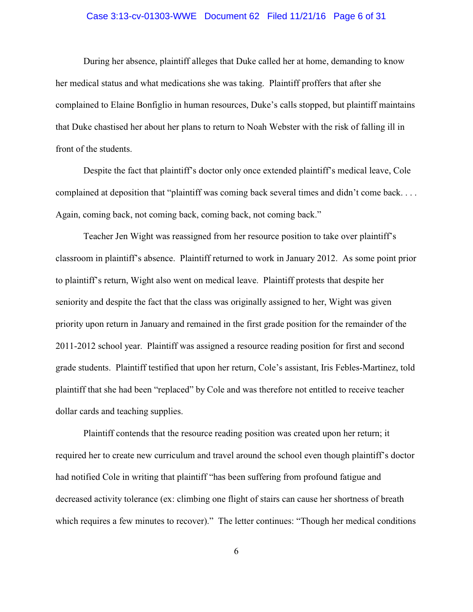# Case 3:13-cv-01303-WWE Document 62 Filed 11/21/16 Page 6 of 31

During her absence, plaintiff alleges that Duke called her at home, demanding to know her medical status and what medications she was taking. Plaintiff proffers that after she complained to Elaine Bonfiglio in human resources, Duke's calls stopped, but plaintiff maintains that Duke chastised her about her plans to return to Noah Webster with the risk of falling ill in front of the students.

Despite the fact that plaintiff's doctor only once extended plaintiff's medical leave, Cole complained at deposition that "plaintiff was coming back several times and didn't come back. . . . Again, coming back, not coming back, coming back, not coming back."

Teacher Jen Wight was reassigned from her resource position to take over plaintiff's classroom in plaintiff's absence. Plaintiff returned to work in January 2012. As some point prior to plaintiff's return, Wight also went on medical leave. Plaintiff protests that despite her seniority and despite the fact that the class was originally assigned to her, Wight was given priority upon return in January and remained in the first grade position for the remainder of the 2011-2012 school year. Plaintiff was assigned a resource reading position for first and second grade students. Plaintiff testified that upon her return, Cole's assistant, Iris Febles-Martinez, told plaintiff that she had been "replaced" by Cole and was therefore not entitled to receive teacher dollar cards and teaching supplies.

Plaintiff contends that the resource reading position was created upon her return; it required her to create new curriculum and travel around the school even though plaintiff's doctor had notified Cole in writing that plaintiff "has been suffering from profound fatigue and decreased activity tolerance (ex: climbing one flight of stairs can cause her shortness of breath which requires a few minutes to recover)." The letter continues: "Though her medical conditions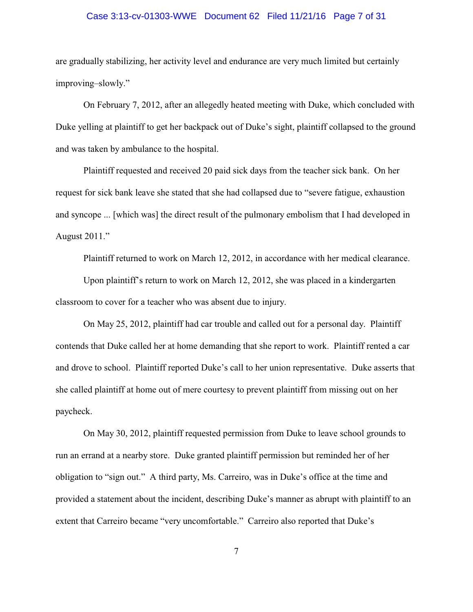# Case 3:13-cv-01303-WWE Document 62 Filed 11/21/16 Page 7 of 31

are gradually stabilizing, her activity level and endurance are very much limited but certainly improving–slowly."

On February 7, 2012, after an allegedly heated meeting with Duke, which concluded with Duke yelling at plaintiff to get her backpack out of Duke's sight, plaintiff collapsed to the ground and was taken by ambulance to the hospital.

Plaintiff requested and received 20 paid sick days from the teacher sick bank. On her request for sick bank leave she stated that she had collapsed due to "severe fatigue, exhaustion and syncope ... [which was] the direct result of the pulmonary embolism that I had developed in August 2011."

Plaintiff returned to work on March 12, 2012, in accordance with her medical clearance.

Upon plaintiff's return to work on March 12, 2012, she was placed in a kindergarten classroom to cover for a teacher who was absent due to injury.

On May 25, 2012, plaintiff had car trouble and called out for a personal day. Plaintiff contends that Duke called her at home demanding that she report to work. Plaintiff rented a car and drove to school. Plaintiff reported Duke's call to her union representative. Duke asserts that she called plaintiff at home out of mere courtesy to prevent plaintiff from missing out on her paycheck.

On May 30, 2012, plaintiff requested permission from Duke to leave school grounds to run an errand at a nearby store. Duke granted plaintiff permission but reminded her of her obligation to "sign out." A third party, Ms. Carreiro, was in Duke's office at the time and provided a statement about the incident, describing Duke's manner as abrupt with plaintiff to an extent that Carreiro became "very uncomfortable." Carreiro also reported that Duke's

7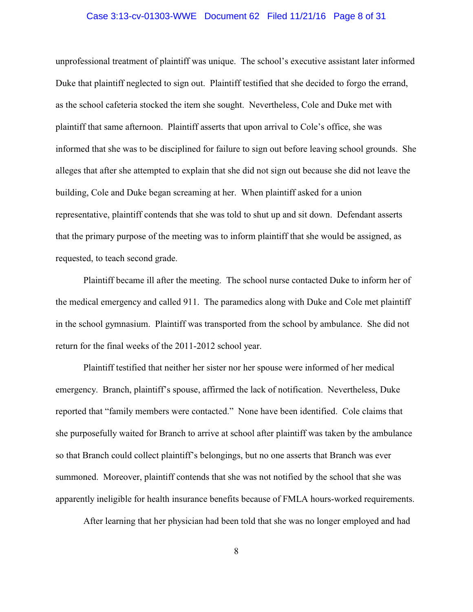# Case 3:13-cv-01303-WWE Document 62 Filed 11/21/16 Page 8 of 31

unprofessional treatment of plaintiff was unique. The school's executive assistant later informed Duke that plaintiff neglected to sign out. Plaintiff testified that she decided to forgo the errand, as the school cafeteria stocked the item she sought. Nevertheless, Cole and Duke met with plaintiff that same afternoon. Plaintiff asserts that upon arrival to Cole's office, she was informed that she was to be disciplined for failure to sign out before leaving school grounds. She alleges that after she attempted to explain that she did not sign out because she did not leave the building, Cole and Duke began screaming at her. When plaintiff asked for a union representative, plaintiff contends that she was told to shut up and sit down. Defendant asserts that the primary purpose of the meeting was to inform plaintiff that she would be assigned, as requested, to teach second grade.

Plaintiff became ill after the meeting. The school nurse contacted Duke to inform her of the medical emergency and called 911. The paramedics along with Duke and Cole met plaintiff in the school gymnasium. Plaintiff was transported from the school by ambulance. She did not return for the final weeks of the 2011-2012 school year.

Plaintiff testified that neither her sister nor her spouse were informed of her medical emergency. Branch, plaintiff's spouse, affirmed the lack of notification. Nevertheless, Duke reported that "family members were contacted." None have been identified. Cole claims that she purposefully waited for Branch to arrive at school after plaintiff was taken by the ambulance so that Branch could collect plaintiff's belongings, but no one asserts that Branch was ever summoned. Moreover, plaintiff contends that she was not notified by the school that she was apparently ineligible for health insurance benefits because of FMLA hours-worked requirements.

After learning that her physician had been told that she was no longer employed and had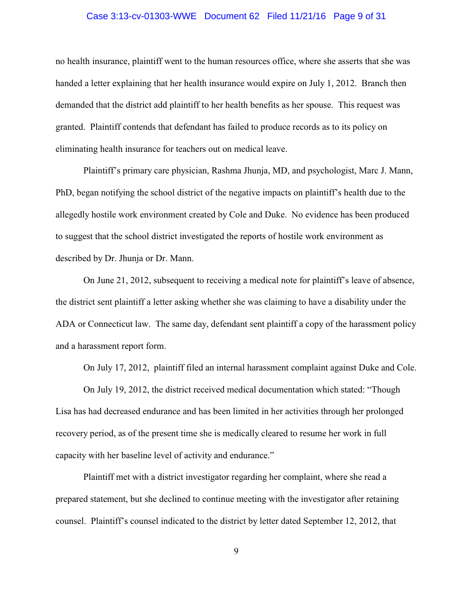# Case 3:13-cv-01303-WWE Document 62 Filed 11/21/16 Page 9 of 31

no health insurance, plaintiff went to the human resources office, where she asserts that she was handed a letter explaining that her health insurance would expire on July 1, 2012. Branch then demanded that the district add plaintiff to her health benefits as her spouse. This request was granted. Plaintiff contends that defendant has failed to produce records as to its policy on eliminating health insurance for teachers out on medical leave.

Plaintiff's primary care physician, Rashma Jhunja, MD, and psychologist, Marc J. Mann, PhD, began notifying the school district of the negative impacts on plaintiff's health due to the allegedly hostile work environment created by Cole and Duke. No evidence has been produced to suggest that the school district investigated the reports of hostile work environment as described by Dr. Jhunja or Dr. Mann.

On June 21, 2012, subsequent to receiving a medical note for plaintiff's leave of absence, the district sent plaintiff a letter asking whether she was claiming to have a disability under the ADA or Connecticut law. The same day, defendant sent plaintiff a copy of the harassment policy and a harassment report form.

On July 17, 2012, plaintiff filed an internal harassment complaint against Duke and Cole.

On July 19, 2012, the district received medical documentation which stated: "Though Lisa has had decreased endurance and has been limited in her activities through her prolonged recovery period, as of the present time she is medically cleared to resume her work in full capacity with her baseline level of activity and endurance."

Plaintiff met with a district investigator regarding her complaint, where she read a prepared statement, but she declined to continue meeting with the investigator after retaining counsel. Plaintiff's counsel indicated to the district by letter dated September 12, 2012, that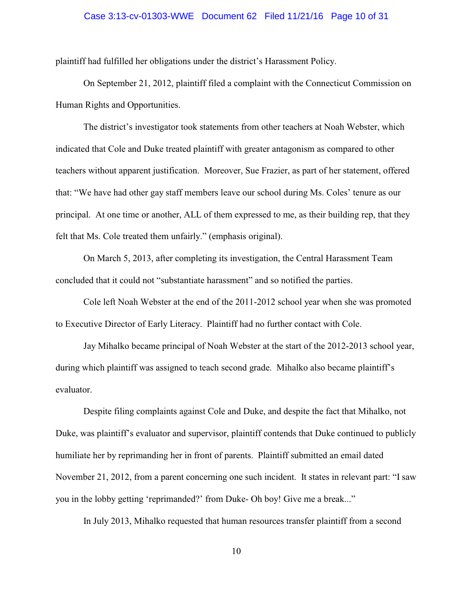# Case 3:13-cv-01303-WWE Document 62 Filed 11/21/16 Page 10 of 31

plaintiff had fulfilled her obligations under the district's Harassment Policy.

On September 21, 2012, plaintiff filed a complaint with the Connecticut Commission on Human Rights and Opportunities.

The district's investigator took statements from other teachers at Noah Webster, which indicated that Cole and Duke treated plaintiff with greater antagonism as compared to other teachers without apparent justification. Moreover, Sue Frazier, as part of her statement, offered that: "We have had other gay staff members leave our school during Ms. Coles' tenure as our principal. At one time or another, ALL of them expressed to me, as their building rep, that they felt that Ms. Cole treated them unfairly." (emphasis original).

On March 5, 2013, after completing its investigation, the Central Harassment Team concluded that it could not "substantiate harassment" and so notified the parties.

Cole left Noah Webster at the end of the 2011-2012 school year when she was promoted to Executive Director of Early Literacy. Plaintiff had no further contact with Cole.

Jay Mihalko became principal of Noah Webster at the start of the 2012-2013 school year, during which plaintiff was assigned to teach second grade. Mihalko also became plaintiff's evaluator.

Despite filing complaints against Cole and Duke, and despite the fact that Mihalko, not Duke, was plaintiff's evaluator and supervisor, plaintiff contends that Duke continued to publicly humiliate her by reprimanding her in front of parents. Plaintiff submitted an email dated November 21, 2012, from a parent concerning one such incident. It states in relevant part: "I saw you in the lobby getting 'reprimanded?' from Duke- Oh boy! Give me a break..."

In July 2013, Mihalko requested that human resources transfer plaintiff from a second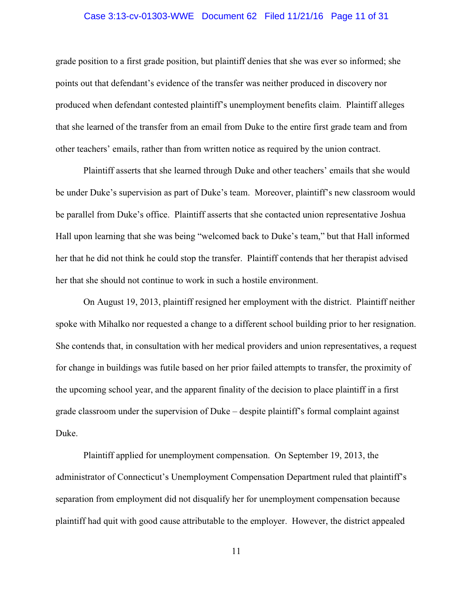### Case 3:13-cv-01303-WWE Document 62 Filed 11/21/16 Page 11 of 31

grade position to a first grade position, but plaintiff denies that she was ever so informed; she points out that defendant's evidence of the transfer was neither produced in discovery nor produced when defendant contested plaintiff's unemployment benefits claim. Plaintiff alleges that she learned of the transfer from an email from Duke to the entire first grade team and from other teachers' emails, rather than from written notice as required by the union contract.

Plaintiff asserts that she learned through Duke and other teachers' emails that she would be under Duke's supervision as part of Duke's team. Moreover, plaintiff's new classroom would be parallel from Duke's office. Plaintiff asserts that she contacted union representative Joshua Hall upon learning that she was being "welcomed back to Duke's team," but that Hall informed her that he did not think he could stop the transfer. Plaintiff contends that her therapist advised her that she should not continue to work in such a hostile environment.

On August 19, 2013, plaintiff resigned her employment with the district. Plaintiff neither spoke with Mihalko nor requested a change to a different school building prior to her resignation. She contends that, in consultation with her medical providers and union representatives, a request for change in buildings was futile based on her prior failed attempts to transfer, the proximity of the upcoming school year, and the apparent finality of the decision to place plaintiff in a first grade classroom under the supervision of Duke – despite plaintiff's formal complaint against Duke.

Plaintiff applied for unemployment compensation. On September 19, 2013, the administrator of Connecticut's Unemployment Compensation Department ruled that plaintiff's separation from employment did not disqualify her for unemployment compensation because plaintiff had quit with good cause attributable to the employer. However, the district appealed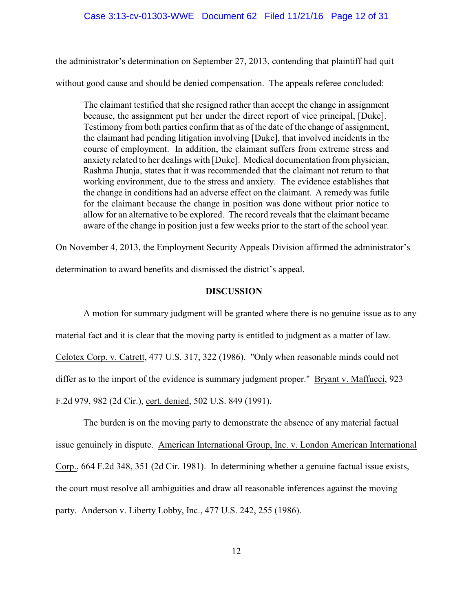the administrator's determination on September 27, 2013, contending that plaintiff had quit without good cause and should be denied compensation. The appeals referee concluded:

The claimant testified that she resigned rather than accept the change in assignment because, the assignment put her under the direct report of vice principal, [Duke]. Testimony from both parties confirm that as of the date of the change of assignment, the claimant had pending litigation involving [Duke], that involved incidents in the course of employment. In addition, the claimant suffers from extreme stress and anxiety related to her dealings with [Duke]. Medical documentation from physician, Rashma Jhunja, states that it was recommended that the claimant not return to that working environment, due to the stress and anxiety. The evidence establishes that the change in conditions had an adverse effect on the claimant. A remedy was futile for the claimant because the change in position was done without prior notice to allow for an alternative to be explored. The record reveals that the claimant became aware of the change in position just a few weeks prior to the start of the school year.

On November 4, 2013, the Employment Security Appeals Division affirmed the administrator's

determination to award benefits and dismissed the district's appeal.

# **DISCUSSION**

A motion for summary judgment will be granted where there is no genuine issue as to any material fact and it is clear that the moving party is entitled to judgment as a matter of law. Celotex Corp. v. Catrett, 477 U.S. 317, 322 (1986). "Only when reasonable minds could not differ as to the import of the evidence is summary judgment proper." Bryant v. Maffucci, 923 F.2d 979, 982 (2d Cir.), cert. denied, 502 U.S. 849 (1991).

The burden is on the moving party to demonstrate the absence of any material factual issue genuinely in dispute. American International Group, Inc. v. London American International Corp., 664 F.2d 348, 351 (2d Cir. 1981). In determining whether a genuine factual issue exists, the court must resolve all ambiguities and draw all reasonable inferences against the moving party. Anderson v. Liberty Lobby, Inc., 477 U.S. 242, 255 (1986).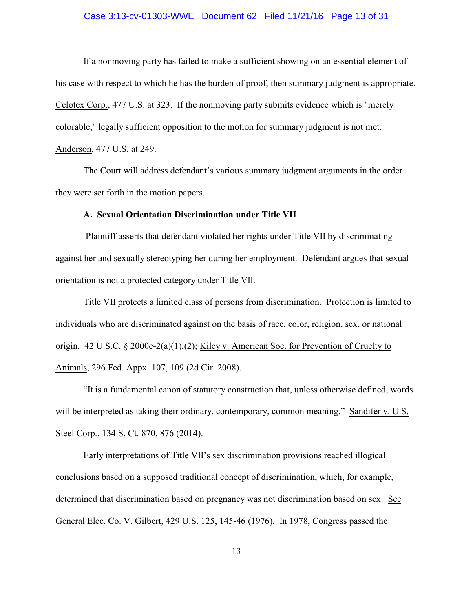### Case 3:13-cv-01303-WWE Document 62 Filed 11/21/16 Page 13 of 31

If a nonmoving party has failed to make a sufficient showing on an essential element of his case with respect to which he has the burden of proof, then summary judgment is appropriate. Celotex Corp., 477 U.S. at 323. If the nonmoving party submits evidence which is "merely colorable," legally sufficient opposition to the motion for summary judgment is not met. Anderson, 477 U.S. at 249.

The Court will address defendant's various summary judgment arguments in the order they were set forth in the motion papers.

# **A. Sexual Orientation Discrimination under Title VII**

 Plaintiff asserts that defendant violated her rights under Title VII by discriminating against her and sexually stereotyping her during her employment. Defendant argues that sexual orientation is not a protected category under Title VII.

Title VII protects a limited class of persons from discrimination. Protection is limited to individuals who are discriminated against on the basis of race, color, religion, sex, or national origin. 42 U.S.C. § 2000e-2(a)(1),(2); Kiley v. American Soc. for Prevention of Cruelty to Animals, 296 Fed. Appx. 107, 109 (2d Cir. 2008).

"It is a fundamental canon of statutory construction that, unless otherwise defined, words will be interpreted as taking their ordinary, contemporary, common meaning." Sandifer v. U.S. Steel Corp., 134 S. Ct. 870, 876 (2014).

Early interpretations of Title VII's sex discrimination provisions reached illogical conclusions based on a supposed traditional concept of discrimination, which, for example, determined that discrimination based on pregnancy was not discrimination based on sex. See General Elec. Co. V. Gilbert, 429 U.S. 125, 145-46 (1976). In 1978, Congress passed the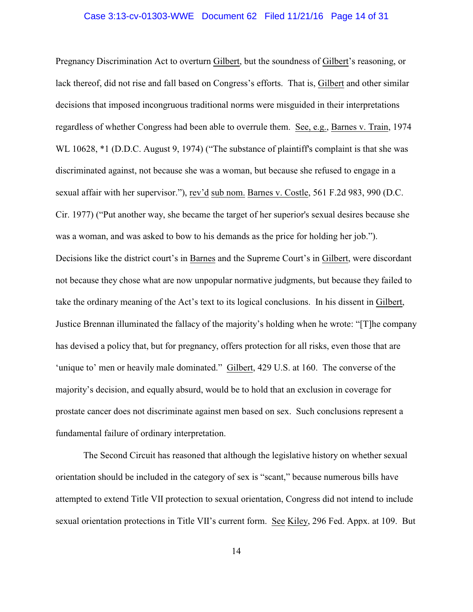# Case 3:13-cv-01303-WWE Document 62 Filed 11/21/16 Page 14 of 31

Pregnancy Discrimination Act to overturn Gilbert, but the soundness of Gilbert's reasoning, or lack thereof, did not rise and fall based on Congress's efforts. That is, Gilbert and other similar decisions that imposed incongruous traditional norms were misguided in their interpretations regardless of whether Congress had been able to overrule them. See, e.g., Barnes v. Train, 1974 WL 10628,  $*1$  (D.D.C. August 9, 1974) ("The substance of plaintiff's complaint is that she was discriminated against, not because she was a woman, but because she refused to engage in a sexual affair with her supervisor."), rev'd sub nom. Barnes v. Costle, 561 F.2d 983, 990 (D.C. Cir. 1977) ("Put another way, she became the target of her superior's sexual desires because she was a woman, and was asked to bow to his demands as the price for holding her job."). Decisions like the district court's in Barnes and the Supreme Court's in Gilbert, were discordant not because they chose what are now unpopular normative judgments, but because they failed to take the ordinary meaning of the Act's text to its logical conclusions. In his dissent in Gilbert, Justice Brennan illuminated the fallacy of the majority's holding when he wrote: "[T]he company has devised a policy that, but for pregnancy, offers protection for all risks, even those that are 'unique to' men or heavily male dominated." Gilbert, 429 U.S. at 160. The converse of the majority's decision, and equally absurd, would be to hold that an exclusion in coverage for prostate cancer does not discriminate against men based on sex. Such conclusions represent a fundamental failure of ordinary interpretation.

The Second Circuit has reasoned that although the legislative history on whether sexual orientation should be included in the category of sex is "scant," because numerous bills have attempted to extend Title VII protection to sexual orientation, Congress did not intend to include sexual orientation protections in Title VII's current form. See Kiley, 296 Fed. Appx. at 109. But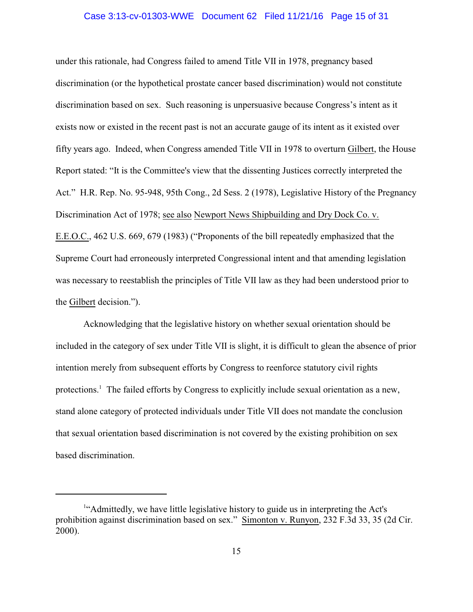### Case 3:13-cv-01303-WWE Document 62 Filed 11/21/16 Page 15 of 31

under this rationale, had Congress failed to amend Title VII in 1978, pregnancy based discrimination (or the hypothetical prostate cancer based discrimination) would not constitute discrimination based on sex. Such reasoning is unpersuasive because Congress's intent as it exists now or existed in the recent past is not an accurate gauge of its intent as it existed over fifty years ago. Indeed, when Congress amended Title VII in 1978 to overturn Gilbert, the House Report stated: "It is the Committee's view that the dissenting Justices correctly interpreted the Act." H.R. Rep. No. 95-948, 95th Cong., 2d Sess. 2 (1978), Legislative History of the Pregnancy Discrimination Act of 1978; see also Newport News Shipbuilding and Dry Dock Co. v. E.E.O.C., 462 U.S. 669, 679 (1983) ("Proponents of the bill repeatedly emphasized that the Supreme Court had erroneously interpreted Congressional intent and that amending legislation was necessary to reestablish the principles of Title VII law as they had been understood prior to the Gilbert decision.").

Acknowledging that the legislative history on whether sexual orientation should be included in the category of sex under Title VII is slight, it is difficult to glean the absence of prior intention merely from subsequent efforts by Congress to reenforce statutory civil rights protections.<sup>1</sup> The failed efforts by Congress to explicitly include sexual orientation as a new, stand alone category of protected individuals under Title VII does not mandate the conclusion that sexual orientation based discrimination is not covered by the existing prohibition on sex based discrimination.

<sup>&</sup>lt;sup>1</sup>"Admittedly, we have little legislative history to guide us in interpreting the Act's prohibition against discrimination based on sex." Simonton v. Runyon, 232 F.3d 33, 35 (2d Cir. 2000).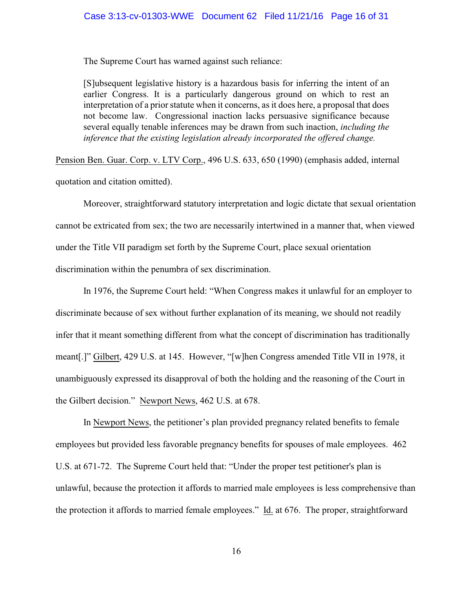### Case 3:13-cv-01303-WWE Document 62 Filed 11/21/16 Page 16 of 31

The Supreme Court has warned against such reliance:

[S]ubsequent legislative history is a hazardous basis for inferring the intent of an earlier Congress. It is a particularly dangerous ground on which to rest an interpretation of a prior statute when it concerns, as it does here, a proposal that does not become law. Congressional inaction lacks persuasive significance because several equally tenable inferences may be drawn from such inaction, *including the inference that the existing legislation already incorporated the offered change.*

Pension Ben. Guar. Corp. v. LTV Corp., 496 U.S. 633, 650 (1990) (emphasis added, internal

quotation and citation omitted).

Moreover, straightforward statutory interpretation and logic dictate that sexual orientation cannot be extricated from sex; the two are necessarily intertwined in a manner that, when viewed under the Title VII paradigm set forth by the Supreme Court, place sexual orientation discrimination within the penumbra of sex discrimination.

In 1976, the Supreme Court held: "When Congress makes it unlawful for an employer to discriminate because of sex without further explanation of its meaning, we should not readily infer that it meant something different from what the concept of discrimination has traditionally meant[.]" Gilbert, 429 U.S. at 145. However, "[w]hen Congress amended Title VII in 1978, it unambiguously expressed its disapproval of both the holding and the reasoning of the Court in the Gilbert decision." Newport News, 462 U.S. at 678.

In Newport News, the petitioner's plan provided pregnancy related benefits to female employees but provided less favorable pregnancy benefits for spouses of male employees. 462 U.S. at 671-72. The Supreme Court held that: "Under the proper test petitioner's plan is unlawful, because the protection it affords to married male employees is less comprehensive than the protection it affords to married female employees." Id. at 676. The proper, straightforward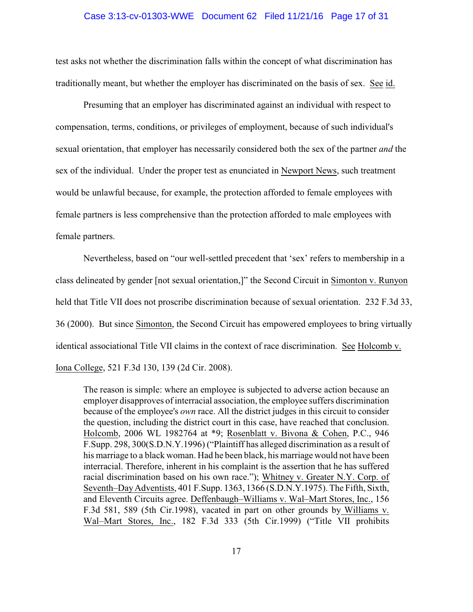### Case 3:13-cv-01303-WWE Document 62 Filed 11/21/16 Page 17 of 31

test asks not whether the discrimination falls within the concept of what discrimination has traditionally meant, but whether the employer has discriminated on the basis of sex. See id.

Presuming that an employer has discriminated against an individual with respect to compensation, terms, conditions, or privileges of employment, because of such individual's sexual orientation, that employer has necessarily considered both the sex of the partner *and* the sex of the individual. Under the proper test as enunciated in Newport News, such treatment would be unlawful because, for example, the protection afforded to female employees with female partners is less comprehensive than the protection afforded to male employees with female partners.

Nevertheless, based on "our well-settled precedent that 'sex' refers to membership in a class delineated by gender [not sexual orientation,]" the Second Circuit in Simonton v. Runyon held that Title VII does not proscribe discrimination because of sexual orientation. 232 F.3d 33, 36 (2000). But since Simonton, the Second Circuit has empowered employees to bring virtually identical associational Title VII claims in the context of race discrimination. See Holcomb v. Iona College, 521 F.3d 130, 139 (2d Cir. 2008).

The reason is simple: where an employee is subjected to adverse action because an employer disapproves of interracial association, the employee suffers discrimination because of the employee's *own* race. All the district judges in this circuit to consider the question, including the district court in this case, have reached that conclusion. Holcomb, 2006 WL 1982764 at \*9; Rosenblatt v. Bivona & Cohen, P.C., 946 F.Supp. 298, 300(S.D.N.Y.1996) ("Plaintiff has alleged discrimination as a result of his marriage to a black woman. Had he been black, his marriage would not have been interracial. Therefore, inherent in his complaint is the assertion that he has suffered racial discrimination based on his own race."); Whitney v. Greater N.Y. Corp. of Seventh–DayAdventists, 401 F.Supp. 1363, 1366 (S.D.N.Y.1975). The Fifth, Sixth, and Eleventh Circuits agree. Deffenbaugh–Williams v. Wal–Mart Stores, Inc., 156 F.3d 581, 589 (5th Cir.1998), vacated in part on other grounds by Williams v. Wal–Mart Stores, Inc., 182 F.3d 333 (5th Cir.1999) ("Title VII prohibits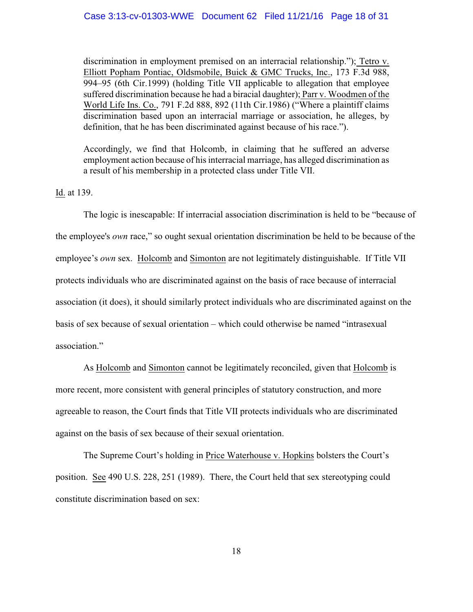# Case 3:13-cv-01303-WWE Document 62 Filed 11/21/16 Page 18 of 31

discrimination in employment premised on an interracial relationship."); Tetro v. Elliott Popham Pontiac, Oldsmobile, Buick & GMC Trucks, Inc., 173 F.3d 988, 994–95 (6th Cir.1999) (holding Title VII applicable to allegation that employee suffered discrimination because he had a biracial daughter); Parr v. Woodmen of the World Life Ins. Co., 791 F.2d 888, 892 (11th Cir.1986) ("Where a plaintiff claims discrimination based upon an interracial marriage or association, he alleges, by definition, that he has been discriminated against because of his race.").

Accordingly, we find that Holcomb, in claiming that he suffered an adverse employment action because of his interracial marriage, has alleged discrimination as a result of his membership in a protected class under Title VII.

Id. at 139.

The logic is inescapable: If interracial association discrimination is held to be "because of the employee's *own* race," so ought sexual orientation discrimination be held to be because of the employee's *own* sex. Holcomb and Simonton are not legitimately distinguishable. If Title VII protects individuals who are discriminated against on the basis of race because of interracial association (it does), it should similarly protect individuals who are discriminated against on the basis of sex because of sexual orientation – which could otherwise be named "intrasexual association."

As Holcomb and Simonton cannot be legitimately reconciled, given that Holcomb is more recent, more consistent with general principles of statutory construction, and more agreeable to reason, the Court finds that Title VII protects individuals who are discriminated against on the basis of sex because of their sexual orientation.

The Supreme Court's holding in Price Waterhouse v. Hopkins bolsters the Court's position. See 490 U.S. 228, 251 (1989). There, the Court held that sex stereotyping could constitute discrimination based on sex: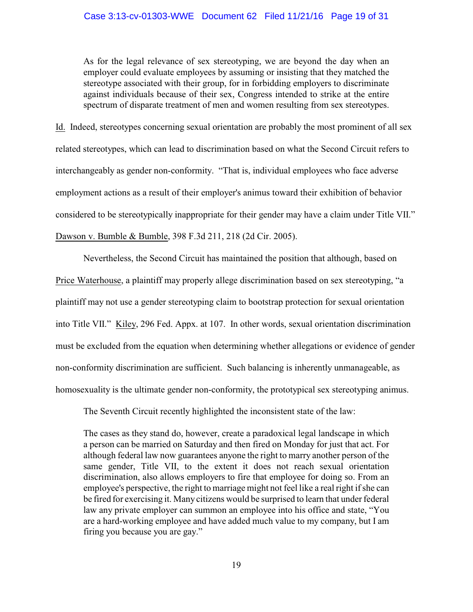As for the legal relevance of sex stereotyping, we are beyond the day when an employer could evaluate employees by assuming or insisting that they matched the stereotype associated with their group, for in forbidding employers to discriminate against individuals because of their sex, Congress intended to strike at the entire spectrum of disparate treatment of men and women resulting from sex stereotypes.

Id. Indeed, stereotypes concerning sexual orientation are probably the most prominent of all sex related stereotypes, which can lead to discrimination based on what the Second Circuit refers to interchangeably as gender non-conformity. "That is, individual employees who face adverse employment actions as a result of their employer's animus toward their exhibition of behavior considered to be stereotypically inappropriate for their gender may have a claim under Title VII." Dawson v. Bumble & Bumble, 398 F.3d 211, 218 (2d Cir. 2005).

Nevertheless, the Second Circuit has maintained the position that although, based on Price Waterhouse, a plaintiff may properly allege discrimination based on sex stereotyping, "a plaintiff may not use a gender stereotyping claim to bootstrap protection for sexual orientation into Title VII." Kiley, 296 Fed. Appx. at 107. In other words, sexual orientation discrimination must be excluded from the equation when determining whether allegations or evidence of gender non-conformity discrimination are sufficient. Such balancing is inherently unmanageable, as homosexuality is the ultimate gender non-conformity, the prototypical sex stereotyping animus.

The Seventh Circuit recently highlighted the inconsistent state of the law:

The cases as they stand do, however, create a paradoxical legal landscape in which a person can be married on Saturday and then fired on Monday for just that act. For although federal law now guarantees anyone the right to marry another person of the same gender, Title VII, to the extent it does not reach sexual orientation discrimination, also allows employers to fire that employee for doing so. From an employee's perspective, the right to marriage might not feel like a real right if she can be fired for exercising it. Many citizens would be surprised to learn that under federal law any private employer can summon an employee into his office and state, "You are a hard-working employee and have added much value to my company, but I am firing you because you are gay."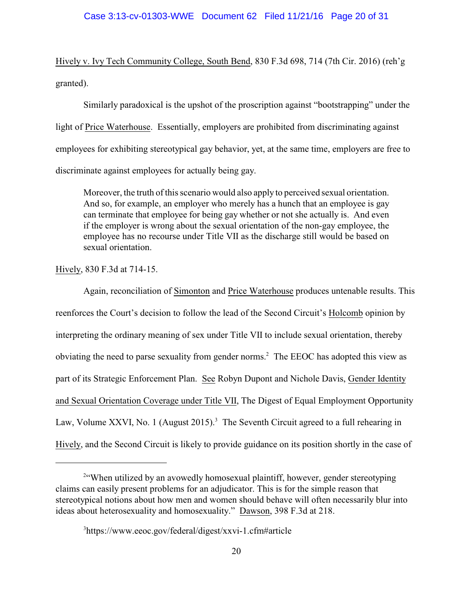Hively v. Ivy Tech Community College, South Bend, 830 F.3d 698, 714 (7th Cir. 2016) (reh'g granted).

Similarly paradoxical is the upshot of the proscription against "bootstrapping" under the light of Price Waterhouse. Essentially, employers are prohibited from discriminating against employees for exhibiting stereotypical gay behavior, yet, at the same time, employers are free to discriminate against employees for actually being gay.

Moreover, the truth of this scenario would also apply to perceived sexual orientation. And so, for example, an employer who merely has a hunch that an employee is gay can terminate that employee for being gay whether or not she actually is. And even if the employer is wrong about the sexual orientation of the non-gay employee, the employee has no recourse under Title VII as the discharge still would be based on sexual orientation.

Hively, 830 F.3d at 714-15.

Again, reconciliation of Simonton and Price Waterhouse produces untenable results. This reenforces the Court's decision to follow the lead of the Second Circuit's Holcomb opinion by interpreting the ordinary meaning of sex under Title VII to include sexual orientation, thereby obviating the need to parse sexuality from gender norms.<sup>2</sup> The EEOC has adopted this view as part of its Strategic Enforcement Plan. See Robyn Dupont and Nichole Davis, Gender Identity and Sexual Orientation Coverage under Title VII, The Digest of Equal Employment Opportunity Law, Volume XXVI, No. 1 (August 2015).<sup>3</sup> The Seventh Circuit agreed to a full rehearing in Hively, and the Second Circuit is likely to provide guidance on its position shortly in the case of

<sup>&</sup>lt;sup>2"</sup>When utilized by an avowedly homosexual plaintiff, however, gender stereotyping claims can easily present problems for an adjudicator. This is for the simple reason that stereotypical notions about how men and women should behave will often necessarily blur into ideas about heterosexuality and homosexuality." Dawson, 398 F.3d at 218.

<sup>&</sup>lt;sup>3</sup>https://www.eeoc.gov/federal/digest/xxvi-1.cfm#article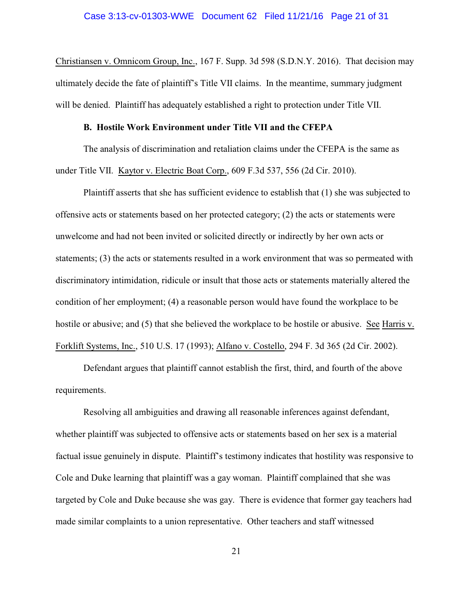# Case 3:13-cv-01303-WWE Document 62 Filed 11/21/16 Page 21 of 31

Christiansen v. Omnicom Group, Inc., 167 F. Supp. 3d 598 (S.D.N.Y. 2016). That decision may ultimately decide the fate of plaintiff's Title VII claims. In the meantime, summary judgment will be denied. Plaintiff has adequately established a right to protection under Title VII.

# **B. Hostile Work Environment under Title VII and the CFEPA**

The analysis of discrimination and retaliation claims under the CFEPA is the same as under Title VII. Kaytor v. Electric Boat Corp., 609 F.3d 537, 556 (2d Cir. 2010).

Plaintiff asserts that she has sufficient evidence to establish that (1) she was subjected to offensive acts or statements based on her protected category; (2) the acts or statements were unwelcome and had not been invited or solicited directly or indirectly by her own acts or statements; (3) the acts or statements resulted in a work environment that was so permeated with discriminatory intimidation, ridicule or insult that those acts or statements materially altered the condition of her employment; (4) a reasonable person would have found the workplace to be hostile or abusive; and (5) that she believed the workplace to be hostile or abusive. See Harris v. Forklift Systems, Inc., 510 U.S. 17 (1993); Alfano v. Costello, 294 F. 3d 365 (2d Cir. 2002).

Defendant argues that plaintiff cannot establish the first, third, and fourth of the above requirements.

Resolving all ambiguities and drawing all reasonable inferences against defendant, whether plaintiff was subjected to offensive acts or statements based on her sex is a material factual issue genuinely in dispute. Plaintiff's testimony indicates that hostility was responsive to Cole and Duke learning that plaintiff was a gay woman. Plaintiff complained that she was targeted by Cole and Duke because she was gay. There is evidence that former gay teachers had made similar complaints to a union representative. Other teachers and staff witnessed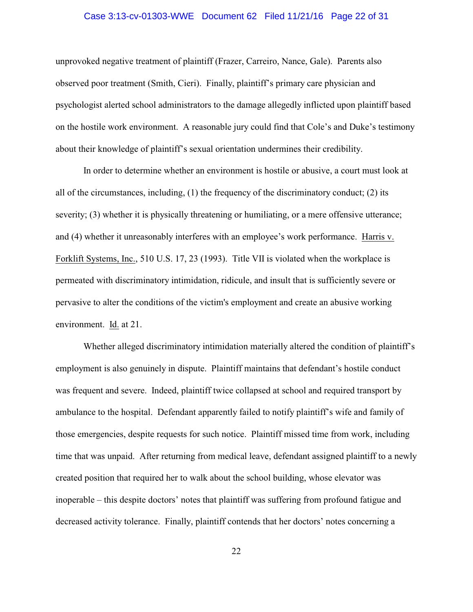# Case 3:13-cv-01303-WWE Document 62 Filed 11/21/16 Page 22 of 31

unprovoked negative treatment of plaintiff (Frazer, Carreiro, Nance, Gale). Parents also observed poor treatment (Smith, Cieri). Finally, plaintiff's primary care physician and psychologist alerted school administrators to the damage allegedly inflicted upon plaintiff based on the hostile work environment. A reasonable jury could find that Cole's and Duke's testimony about their knowledge of plaintiff's sexual orientation undermines their credibility.

In order to determine whether an environment is hostile or abusive, a court must look at all of the circumstances, including, (1) the frequency of the discriminatory conduct; (2) its severity; (3) whether it is physically threatening or humiliating, or a mere offensive utterance; and (4) whether it unreasonably interferes with an employee's work performance.Harris v. Forklift Systems, Inc., 510 U.S. 17, 23 (1993). Title VII is violated when the workplace is permeated with discriminatory intimidation, ridicule, and insult that is sufficiently severe or pervasive to alter the conditions of the victim's employment and create an abusive working environment. Id. at 21.

Whether alleged discriminatory intimidation materially altered the condition of plaintiff's employment is also genuinely in dispute. Plaintiff maintains that defendant's hostile conduct was frequent and severe. Indeed, plaintiff twice collapsed at school and required transport by ambulance to the hospital. Defendant apparently failed to notify plaintiff's wife and family of those emergencies, despite requests for such notice. Plaintiff missed time from work, including time that was unpaid. After returning from medical leave, defendant assigned plaintiff to a newly created position that required her to walk about the school building, whose elevator was inoperable – this despite doctors' notes that plaintiff was suffering from profound fatigue and decreased activity tolerance. Finally, plaintiff contends that her doctors' notes concerning a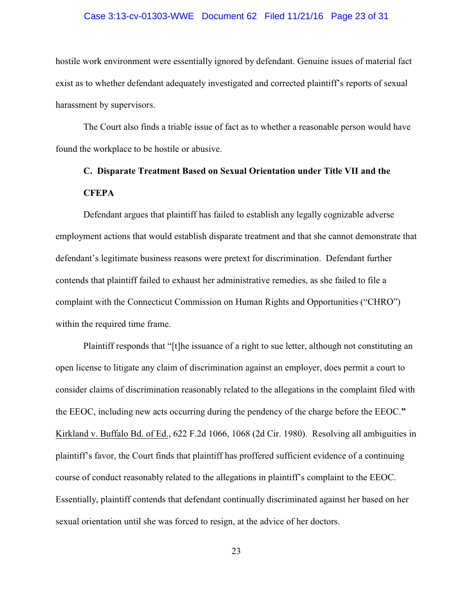# Case 3:13-cv-01303-WWE Document 62 Filed 11/21/16 Page 23 of 31

hostile work environment were essentially ignored by defendant. Genuine issues of material fact exist as to whether defendant adequately investigated and corrected plaintiff's reports of sexual harassment by supervisors.

The Court also finds a triable issue of fact as to whether a reasonable person would have found the workplace to be hostile or abusive.

# **C. Disparate Treatment Based on Sexual Orientation under Title VII and the CFEPA**

Defendant argues that plaintiff has failed to establish any legally cognizable adverse employment actions that would establish disparate treatment and that she cannot demonstrate that defendant's legitimate business reasons were pretext for discrimination. Defendant further contends that plaintiff failed to exhaust her administrative remedies, as she failed to file a complaint with the Connecticut Commission on Human Rights and Opportunities ("CHRO") within the required time frame.

Plaintiff responds that "[t]he issuance of a right to sue letter, although not constituting an open license to litigate any claim of discrimination against an employer, does permit a court to consider claims of discrimination reasonably related to the allegations in the complaint filed with the EEOC, including new acts occurring during the pendency of the charge before the EEOC.**"**  Kirkland v. Buffalo Bd. of Ed., 622 F.2d 1066, 1068 (2d Cir. 1980). Resolving all ambiguities in plaintiff's favor, the Court finds that plaintiff has proffered sufficient evidence of a continuing course of conduct reasonably related to the allegations in plaintiff's complaint to the EEOC. Essentially, plaintiff contends that defendant continually discriminated against her based on her sexual orientation until she was forced to resign, at the advice of her doctors.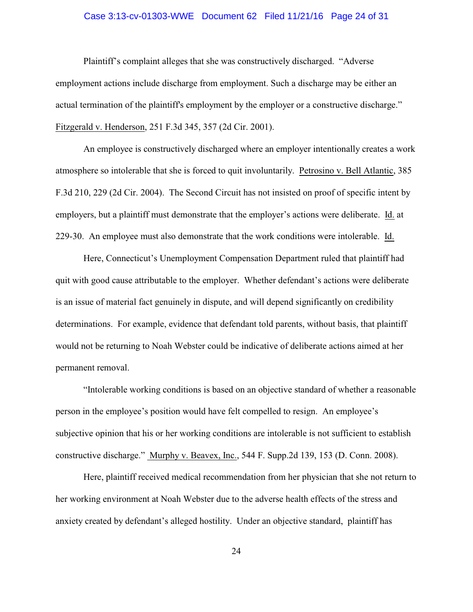# Case 3:13-cv-01303-WWE Document 62 Filed 11/21/16 Page 24 of 31

Plaintiff's complaint alleges that she was constructively discharged. "Adverse employment actions include discharge from employment. Such a discharge may be either an actual termination of the plaintiff's employment by the employer or a constructive discharge." Fitzgerald v. Henderson, 251 F.3d 345, 357 (2d Cir. 2001).

An employee is constructively discharged where an employer intentionally creates a work atmosphere so intolerable that she is forced to quit involuntarily. Petrosino v. Bell Atlantic, 385 F.3d 210, 229 (2d Cir. 2004). The Second Circuit has not insisted on proof of specific intent by employers, but a plaintiff must demonstrate that the employer's actions were deliberate. Id. at 229-30. An employee must also demonstrate that the work conditions were intolerable. Id.

Here, Connecticut's Unemployment Compensation Department ruled that plaintiff had quit with good cause attributable to the employer. Whether defendant's actions were deliberate is an issue of material fact genuinely in dispute, and will depend significantly on credibility determinations. For example, evidence that defendant told parents, without basis, that plaintiff would not be returning to Noah Webster could be indicative of deliberate actions aimed at her permanent removal.

"Intolerable working conditions is based on an objective standard of whether a reasonable person in the employee's position would have felt compelled to resign. An employee's subjective opinion that his or her working conditions are intolerable is not sufficient to establish constructive discharge." Murphy v. Beavex, Inc., 544 F. Supp.2d 139, 153 (D. Conn. 2008).

Here, plaintiff received medical recommendation from her physician that she not return to her working environment at Noah Webster due to the adverse health effects of the stress and anxiety created by defendant's alleged hostility. Under an objective standard, plaintiff has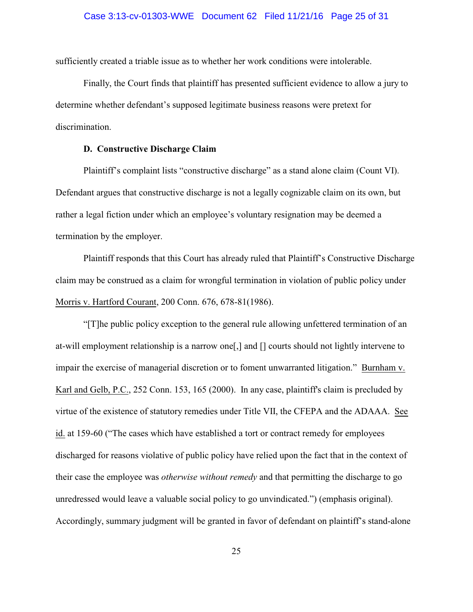sufficiently created a triable issue as to whether her work conditions were intolerable.

Finally, the Court finds that plaintiff has presented sufficient evidence to allow a jury to determine whether defendant's supposed legitimate business reasons were pretext for discrimination.

# **D. Constructive Discharge Claim**

Plaintiff's complaint lists "constructive discharge" as a stand alone claim (Count VI). Defendant argues that constructive discharge is not a legally cognizable claim on its own, but rather a legal fiction under which an employee's voluntary resignation may be deemed a termination by the employer.

Plaintiff responds that this Court has already ruled that Plaintiff's Constructive Discharge claim may be construed as a claim for wrongful termination in violation of public policy under Morris v. Hartford Courant, 200 Conn. 676, 678-81(1986).

"[T]he public policy exception to the general rule allowing unfettered termination of an at-will employment relationship is a narrow one[,] and [] courts should not lightly intervene to impair the exercise of managerial discretion or to foment unwarranted litigation." Burnham v. Karl and Gelb, P.C., 252 Conn. 153, 165 (2000). In any case, plaintiff's claim is precluded by virtue of the existence of statutory remedies under Title VII, the CFEPA and the ADAAA. See id. at 159-60 ("The cases which have established a tort or contract remedy for employees discharged for reasons violative of public policy have relied upon the fact that in the context of their case the employee was *otherwise without remedy* and that permitting the discharge to go unredressed would leave a valuable social policy to go unvindicated.") (emphasis original). Accordingly, summary judgment will be granted in favor of defendant on plaintiff's stand-alone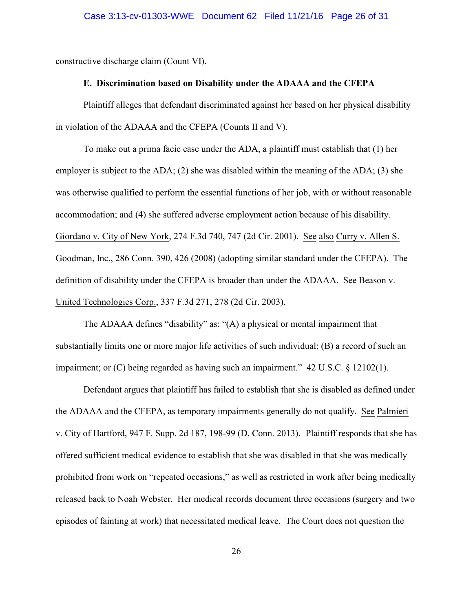constructive discharge claim (Count VI).

# **E. Discrimination based on Disability under the ADAAA and the CFEPA**

Plaintiff alleges that defendant discriminated against her based on her physical disability in violation of the ADAAA and the CFEPA (Counts II and V).

To make out a prima facie case under the ADA, a plaintiff must establish that (1) her employer is subject to the ADA; (2) she was disabled within the meaning of the ADA; (3) she was otherwise qualified to perform the essential functions of her job, with or without reasonable accommodation; and (4) she suffered adverse employment action because of his disability. Giordano v. City of New York, 274 F.3d 740, 747 (2d Cir. 2001). See also Curry v. Allen S. Goodman, Inc., 286 Conn. 390, 426 (2008) (adopting similar standard under the CFEPA). The definition of disability under the CFEPA is broader than under the ADAAA. See Beason v. United Technologies Corp., 337 F.3d 271, 278 (2d Cir. 2003).

The ADAAA defines "disability" as: "(A) a physical or mental impairment that substantially limits one or more major life activities of such individual; (B) a record of such an impairment; or (C) being regarded as having such an impairment." 42 U.S.C. § 12102(1).

Defendant argues that plaintiff has failed to establish that she is disabled as defined under the ADAAA and the CFEPA, as temporary impairments generally do not qualify. See Palmieri v. City of Hartford, 947 F. Supp. 2d 187, 198-99 (D. Conn. 2013). Plaintiff responds that she has offered sufficient medical evidence to establish that she was disabled in that she was medically prohibited from work on "repeated occasions," as well as restricted in work after being medically released back to Noah Webster. Her medical records document three occasions (surgery and two episodes of fainting at work) that necessitated medical leave. The Court does not question the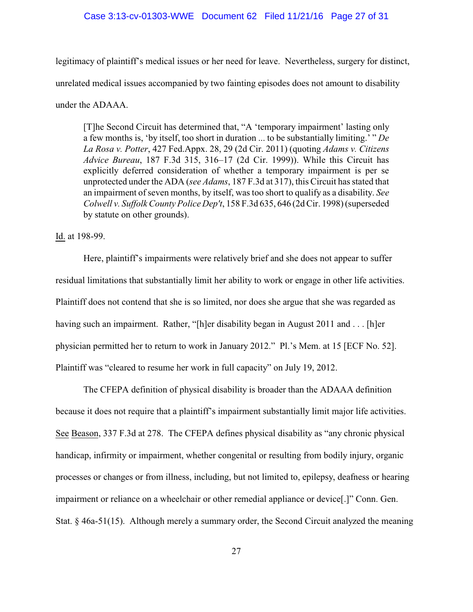# Case 3:13-cv-01303-WWE Document 62 Filed 11/21/16 Page 27 of 31

legitimacy of plaintiff's medical issues or her need for leave. Nevertheless, surgery for distinct, unrelated medical issues accompanied by two fainting episodes does not amount to disability under the ADAAA.

[T]he Second Circuit has determined that, "A 'temporary impairment' lasting only a few months is, 'by itself, too short in duration ... to be substantially limiting.' " *De La Rosa v. Potter*, 427 Fed.Appx. 28, 29 (2d Cir. 2011) (quoting *Adams v. Citizens Advice Bureau*, 187 F.3d 315, 316–17 (2d Cir. 1999)). While this Circuit has explicitly deferred consideration of whether a temporary impairment is per se unprotected under the ADA (*see Adams*, 187 F.3d at 317), this Circuit has stated that an impairment of seven months, by itself, was too short to qualify as a disability. *See Colwell v. Suffolk County Police Dep't*, 158 F.3d 635, 646 (2d Cir. 1998) (superseded by statute on other grounds).

Id. at 198-99.

Here, plaintiff's impairments were relatively brief and she does not appear to suffer residual limitations that substantially limit her ability to work or engage in other life activities. Plaintiff does not contend that she is so limited, nor does she argue that she was regarded as having such an impairment. Rather, "[h]er disability began in August 2011 and . . . [h]er physician permitted her to return to work in January 2012." Pl.'s Mem. at 15 [ECF No. 52]. Plaintiff was "cleared to resume her work in full capacity" on July 19, 2012.

The CFEPA definition of physical disability is broader than the ADAAA definition because it does not require that a plaintiff's impairment substantially limit major life activities. See Beason, 337 F.3d at 278. The CFEPA defines physical disability as "any chronic physical handicap, infirmity or impairment, whether congenital or resulting from bodily injury, organic processes or changes or from illness, including, but not limited to, epilepsy, deafness or hearing impairment or reliance on a wheelchair or other remedial appliance or device[.]" Conn. Gen. Stat. § 46a-51(15). Although merely a summary order, the Second Circuit analyzed the meaning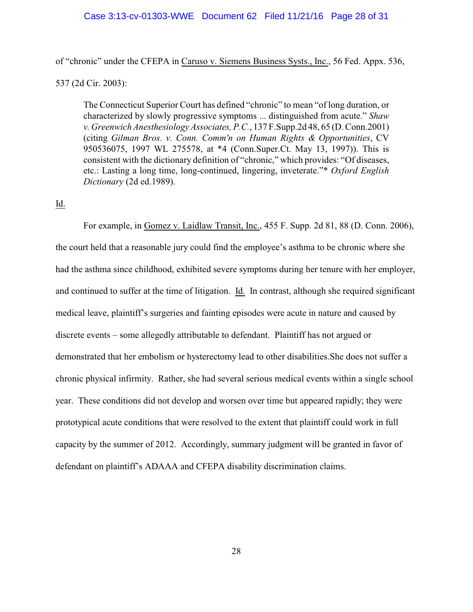# Case 3:13-cv-01303-WWE Document 62 Filed 11/21/16 Page 28 of 31

of "chronic" under the CFEPA in Caruso v. Siemens Business Systs., Inc., 56 Fed. Appx. 536,

537 (2d Cir. 2003):

The Connecticut Superior Court has defined "chronic" to mean "of long duration, or characterized by slowly progressive symptoms ... distinguished from acute." *Shaw v. Greenwich Anesthesiology Associates, P.C.*, 137 F.Supp.2d 48, 65 (D. Conn.2001) (citing *Gilman Bros. v. Conn. Comm'n on Human Rights & Opportunities*, CV 950536075, 1997 WL 275578, at \*4 (Conn.Super.Ct. May 13, 1997)). This is consistent with the dictionary definition of "chronic," which provides: "Of diseases, etc.: Lasting a long time, long-continued, lingering, inveterate."\* *Oxford English Dictionary* (2d ed.1989).

# Id.

For example, in Gomez v. Laidlaw Transit, Inc., 455 F. Supp. 2d 81, 88 (D. Conn. 2006), the court held that a reasonable jury could find the employee's asthma to be chronic where she had the asthma since childhood, exhibited severe symptoms during her tenure with her employer, and continued to suffer at the time of litigation. Id. In contrast, although she required significant medical leave, plaintiff's surgeries and fainting episodes were acute in nature and caused by discrete events – some allegedly attributable to defendant. Plaintiff has not argued or demonstrated that her embolism or hysterectomy lead to other disabilities.She does not suffer a chronic physical infirmity. Rather, she had several serious medical events within a single school year. These conditions did not develop and worsen over time but appeared rapidly; they were prototypical acute conditions that were resolved to the extent that plaintiff could work in full capacity by the summer of 2012. Accordingly, summary judgment will be granted in favor of defendant on plaintiff's ADAAA and CFEPA disability discrimination claims.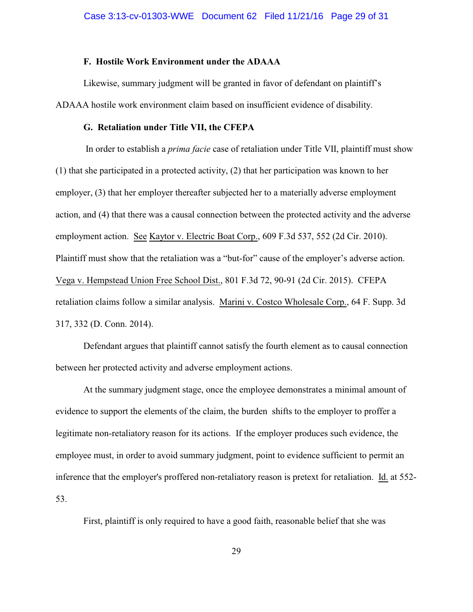# **F. Hostile Work Environment under the ADAAA**

Likewise, summary judgment will be granted in favor of defendant on plaintiff's ADAAA hostile work environment claim based on insufficient evidence of disability.

# **G. Retaliation under Title VII, the CFEPA**

 In order to establish a *prima facie* case of retaliation under Title VII, plaintiff must show (1) that she participated in a protected activity, (2) that her participation was known to her employer, (3) that her employer thereafter subjected her to a materially adverse employment action, and (4) that there was a causal connection between the protected activity and the adverse employment action. See Kaytor v. Electric Boat Corp., 609 F.3d 537, 552 (2d Cir. 2010). Plaintiff must show that the retaliation was a "but-for" cause of the employer's adverse action. Vega v. Hempstead Union Free School Dist., 801 F.3d 72, 90-91 (2d Cir. 2015). CFEPA retaliation claims follow a similar analysis. Marini v. Costco Wholesale Corp., 64 F. Supp. 3d 317, 332 (D. Conn. 2014).

Defendant argues that plaintiff cannot satisfy the fourth element as to causal connection between her protected activity and adverse employment actions.

At the summary judgment stage, once the employee demonstrates a minimal amount of evidence to support the elements of the claim, the burden shifts to the employer to proffer a legitimate non-retaliatory reason for its actions. If the employer produces such evidence, the employee must, in order to avoid summary judgment, point to evidence sufficient to permit an inference that the employer's proffered non-retaliatory reason is pretext for retaliation. Id. at 552- 53.

First, plaintiff is only required to have a good faith, reasonable belief that she was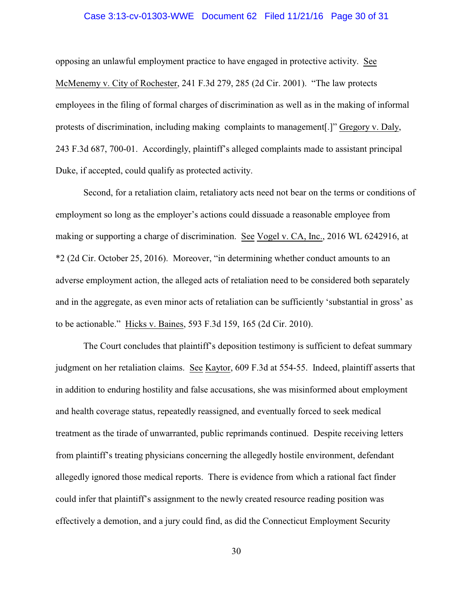# Case 3:13-cv-01303-WWE Document 62 Filed 11/21/16 Page 30 of 31

opposing an unlawful employment practice to have engaged in protective activity. See McMenemy v. City of Rochester, 241 F.3d 279, 285 (2d Cir. 2001). "The law protects employees in the filing of formal charges of discrimination as well as in the making of informal protests of discrimination, including making complaints to management[.]" Gregory v. Daly, 243 F.3d 687, 700-01. Accordingly, plaintiff's alleged complaints made to assistant principal Duke, if accepted, could qualify as protected activity.

Second, for a retaliation claim, retaliatory acts need not bear on the terms or conditions of employment so long as the employer's actions could dissuade a reasonable employee from making or supporting a charge of discrimination. See Vogel v. CA, Inc., 2016 WL 6242916, at \*2 (2d Cir. October 25, 2016). Moreover, "in determining whether conduct amounts to an adverse employment action, the alleged acts of retaliation need to be considered both separately and in the aggregate, as even minor acts of retaliation can be sufficiently 'substantial in gross' as to be actionable." Hicks v. Baines, 593 F.3d 159, 165 (2d Cir. 2010).

The Court concludes that plaintiff's deposition testimony is sufficient to defeat summary judgment on her retaliation claims. See Kaytor, 609 F.3d at 554-55. Indeed, plaintiff asserts that in addition to enduring hostility and false accusations, she was misinformed about employment and health coverage status, repeatedly reassigned, and eventually forced to seek medical treatment as the tirade of unwarranted, public reprimands continued. Despite receiving letters from plaintiff's treating physicians concerning the allegedly hostile environment, defendant allegedly ignored those medical reports. There is evidence from which a rational fact finder could infer that plaintiff's assignment to the newly created resource reading position was effectively a demotion, and a jury could find, as did the Connecticut Employment Security